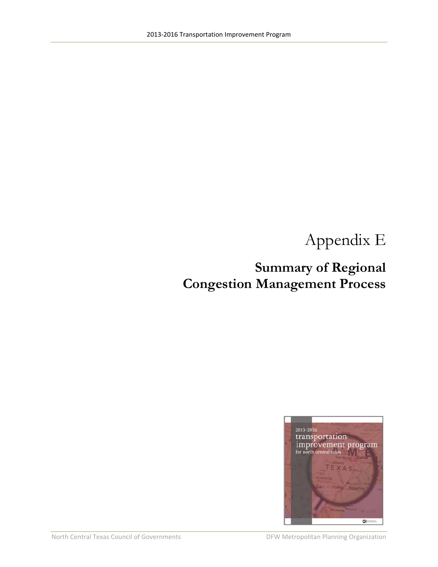## Appendix E

## **Summary of Regional Congestion Management Process**

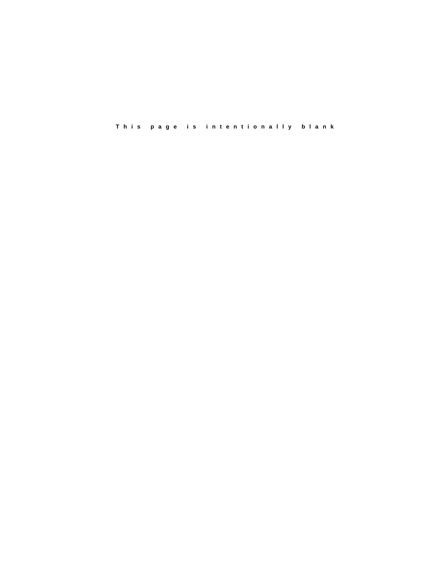## This page is intentionally blank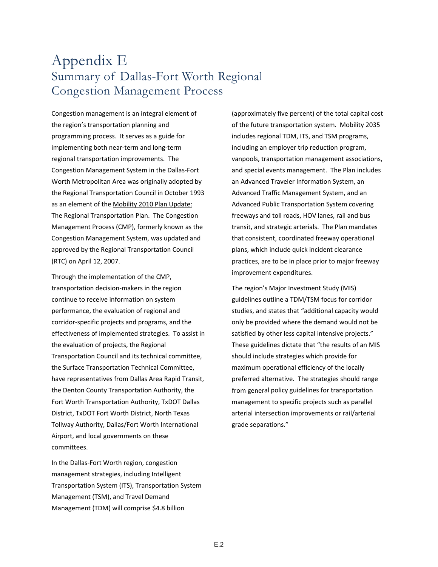## Appendix E Summary of Dallas-Fort Worth Regional Congestion Management Process

Congestion management is an integral element of the region's transportation planning and programming process. It serves as a guide for implementing both near‐term and long‐term regional transportation improvements. The Congestion Management System in the Dallas‐Fort Worth Metropolitan Area was originally adopted by the Regional Transportation Council in October 1993 as an element of the Mobility 2010 Plan Update: The Regional Transportation Plan. The Congestion Management Process (CMP), formerly known as the Congestion Management System, was updated and approved by the Regional Transportation Council (RTC) on April 12, 2007.

Through the implementation of the CMP, transportation decision‐makers in the region continue to receive information on system performance, the evaluation of regional and corridor‐specific projects and programs, and the effectiveness of implemented strategies. To assist in the evaluation of projects, the Regional Transportation Council and its technical committee, the Surface Transportation Technical Committee, have representatives from Dallas Area Rapid Transit, the Denton County Transportation Authority, the Fort Worth Transportation Authority, TxDOT Dallas District, TxDOT Fort Worth District, North Texas Tollway Authority, Dallas/Fort Worth International Airport, and local governments on these committees.

In the Dallas‐Fort Worth region, congestion management strategies, including Intelligent Transportation System (ITS), Transportation System Management (TSM), and Travel Demand Management (TDM) will comprise \$4.8 billion

(approximately five percent) of the total capital cost of the future transportation system. Mobility 2035 includes regional TDM, ITS, and TSM programs, including an employer trip reduction program, vanpools, transportation management associations, and special events management. The Plan includes an Advanced Traveler Information System, an Advanced Traffic Management System, and an Advanced Public Transportation System covering freeways and toll roads, HOV lanes, rail and bus transit, and strategic arterials. The Plan mandates that consistent, coordinated freeway operational plans, which include quick incident clearance practices, are to be in place prior to major freeway improvement expenditures.

The region's Major Investment Study (MIS) guidelines outline a TDM/TSM focus for corridor studies, and states that "additional capacity would only be provided where the demand would not be satisfied by other less capital intensive projects." These guidelines dictate that "the results of an MIS should include strategies which provide for maximum operational efficiency of the locally preferred alternative. The strategies should range from general policy guidelines for transportation management to specific projects such as parallel arterial intersection improvements or rail/arterial grade separations."